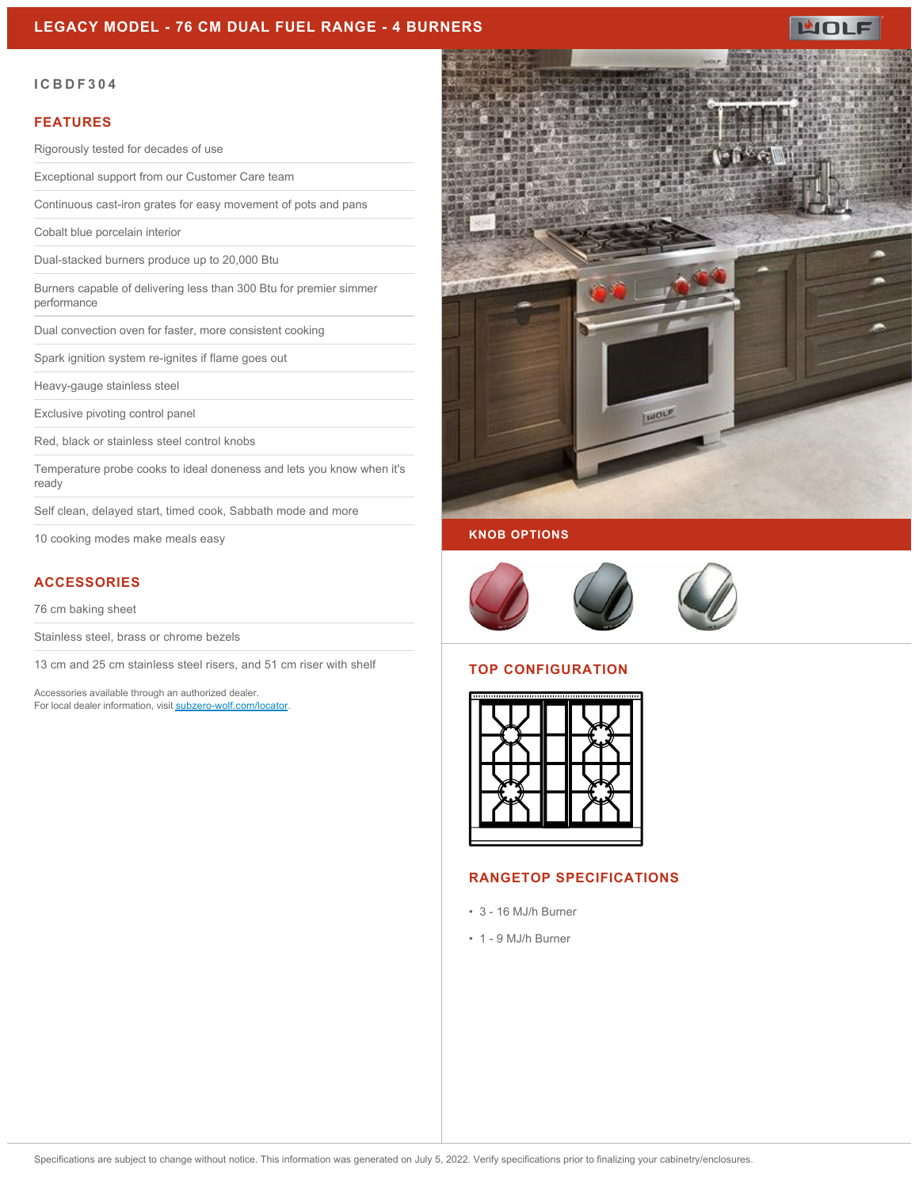#### **LEGACY MODEL - 76 CM DUAL FUEL RANGE - 4 BURNERS**



#### **ICBDF304**

#### **FEATURES**

Rigorously tested for decades of use

Exceptional support from our Customer Care team

Continuous cast-iron grates for easy movement of pots and pans

Cobalt blue porcelain interior

Dual-stacked burners produce up to 20,000 Btu

Burners capable of delivering less than 300 Btu for premier simmer performance

Dual convection oven for faster, more consistent cooking

Spark ignition system re-ignites if flame goes out

Heavy-gauge stainless steel

Exclusive pivoting control panel

Red, black or stainless steel control knobs

Temperature probe cooks to ideal doneness and lets you know when it's ready

Self clean, delayed start, timed cook, Sabbath mode and more

10 cooking modes make meals easy

### **ACCESSORIES**

76 cm baking sheet

Stainless steel, brass or chrome bezels

13 cm and 25 cm stainless steel risers, and 51 cm riser with shelf

Accessories available through an authorized dealer. For local dealer information, visit [subzero-wolf.com/locator.](http://www.subzero-wolf.com/locator)



#### **KNOB OPTIONS**



#### **TOP CONFIGURATION**



#### **RANGETOP SPECIFICATIONS**

- 3 16 MJ/h Burner
- 1 9 MJ/h Burner